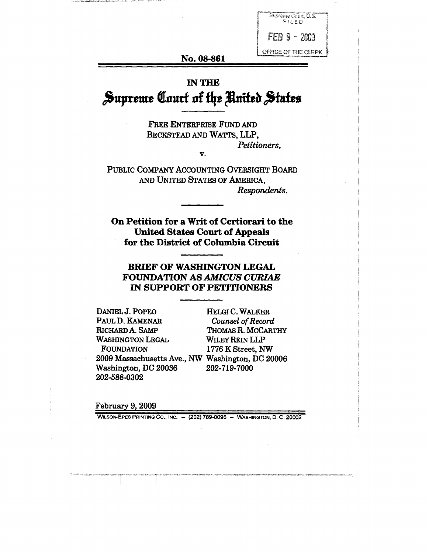

#### **No. 08-861**

# **IN THE** Supreme Court of the United States

FREE ENTERPRISE FUND AND BECKSTEAD AND WATTS, LLP, *Petitioners, V.*

PUBLIC COMPANY ACCOUNTING OVERSIGHT BOARD AND UNITED STATES OF AMERICA, *Respondents.*

On Petition for a Writ of Certiorari to the United States Court of Appeals for the District of Columbia Circuit

## **BRIEF OF WASHINGTON LEGAL FOUNDATION AS** *AMICUS CURIAE* **IN SUPPORT OF PETITIONERS**

DANIEL J. POPEO PAUL D. KAMENAR RICHARD A. SAMP WASHINGTON LEGAL FOUNDATION 2009 Massachusetts Ave., NW Washington, DC 20006 Washington, DC 20036 202-719-7000 202-588-0302

HELGI C. WALKER *Counsel of Record* THOMAS R. MCCARTHY WILEY REIN LLP 1776 K Street, NW

February 9, 2009

WILSON-EPES PRINTING CO., INC. - (202) 789-0096 - WASHINGTON, D. C. 20002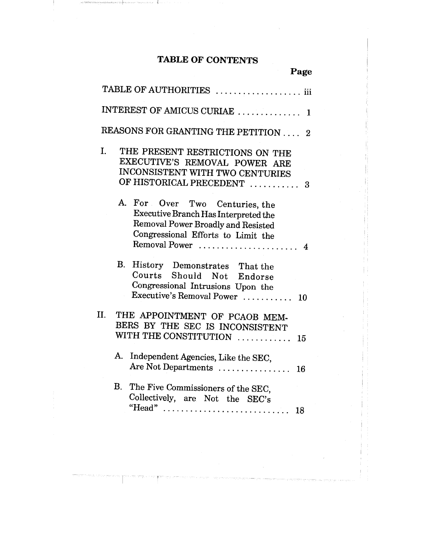## **TABLE OF CONTENTS**

| Page                                                                                                                                                                     |
|--------------------------------------------------------------------------------------------------------------------------------------------------------------------------|
| TABLE OF AUTHORITIES  iii                                                                                                                                                |
| INTEREST OF AMICUS CURIAE  1                                                                                                                                             |
| REASONS FOR GRANTING THE PETITION  2                                                                                                                                     |
| $\mathbf{I}$ .<br>THE PRESENT RESTRICTIONS ON THE<br>EXECUTIVE'S REMOVAL POWER ARE<br>INCONSISTENT WITH TWO CENTURIES<br>OF HISTORICAL PRECEDENT<br>3                    |
| A. For Over Two Centuries, the<br>Executive Branch Has Interpreted the<br>Removal Power Broadly and Resisted<br>Congressional Efforts to Limit the<br>Removal Power<br>4 |
| В.<br>History Demonstrates That the<br>Courts Should Not Endorse<br>Congressional Intrusions Upon the<br>Executive's Removal Power  10                                   |
| II.<br>THE APPOINTMENT OF PCAOB MEM-<br>BERS BY THE SEC IS INCONSISTENT                                                                                                  |
| WITH THE CONSTITUTION<br>15<br>A.<br>Independent Agencies, Like the SEC,<br>Are Not Departments<br>16                                                                    |
| В.<br>The Five Commissioners of the SEC,<br>Collectively, are Not the SEC's<br>18                                                                                        |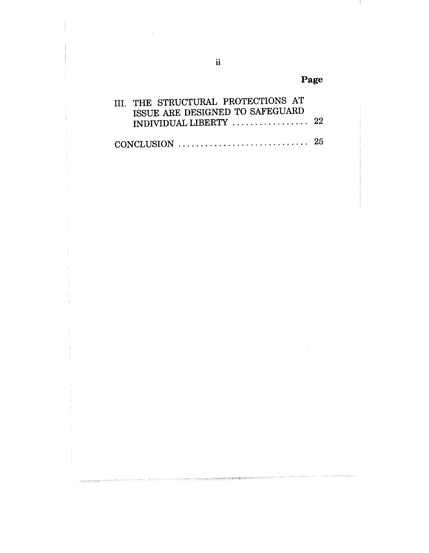Page

| III. THE STRUCTURAL PROTECTIONS AT<br>ISSUE ARE DESIGNED TO SAFEGUARD<br>INDIVIDUAL LIBERTY $\ldots \ldots \ldots \ldots \ldots 22$ |  |
|-------------------------------------------------------------------------------------------------------------------------------------|--|
| CONCLUSION $\ldots \ldots \ldots \ldots \ldots \ldots \ldots \ldots \ldots 25$                                                      |  |

高速時間確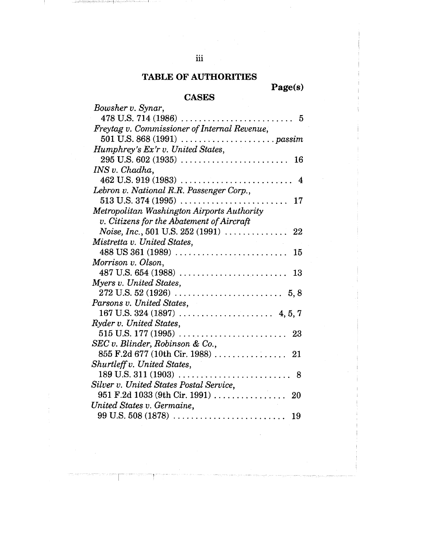## **TABLE OF AUTHORITIES**

iii

**Page(s)**

## **CASES**

| Bowsher v. Synar,                                                                                                      |
|------------------------------------------------------------------------------------------------------------------------|
|                                                                                                                        |
| Freytag v. Commissioner of Internal Revenue,                                                                           |
|                                                                                                                        |
| Humphrey's Ex'r v. United States,                                                                                      |
| 16                                                                                                                     |
| INS v. Chadha,                                                                                                         |
| 462 U.S. 919 (1983)                                                                                                    |
| Lebron v. National R.R. Passenger Corp.,                                                                               |
| $513$ U.S. 374 (1995)<br>17                                                                                            |
| Metropolitan Washington Airports Authority                                                                             |
| v. Citizens for the Abatement of Aircraft                                                                              |
| <i>Noise</i> , <i>Inc.</i> , 501 U.S. 252 (1991) $\ldots$<br>22                                                        |
| Mistretta v. United States,                                                                                            |
| $488 \text{ US } 361 \text{ (}1989) \text{ .} \dots \dots \dots \dots \dots \dots \dots \dots \dots \dots \dots$<br>15 |
| Morrison v. Olson,                                                                                                     |
|                                                                                                                        |
| Myers v. United States,                                                                                                |
|                                                                                                                        |
| Parsons v. United States,                                                                                              |
|                                                                                                                        |
| Ryder v. United States,                                                                                                |
| $515$ U.S. $177(1995)$<br>. 23                                                                                         |
| SEC v. Blinder, Robinson & Co.,                                                                                        |
|                                                                                                                        |
| Shurtleff v. United States,                                                                                            |
|                                                                                                                        |
| Silver v. United States Postal Service,                                                                                |
| 951 F.2d 1033 (9th Cir. 1991) 20                                                                                       |
|                                                                                                                        |
| 19                                                                                                                     |
| United States v. Germaine,<br>$99 \text{ U.S. } 508 \text{ (1878)} \dots \dots \dots \dots \dots \dots \dots \dots$    |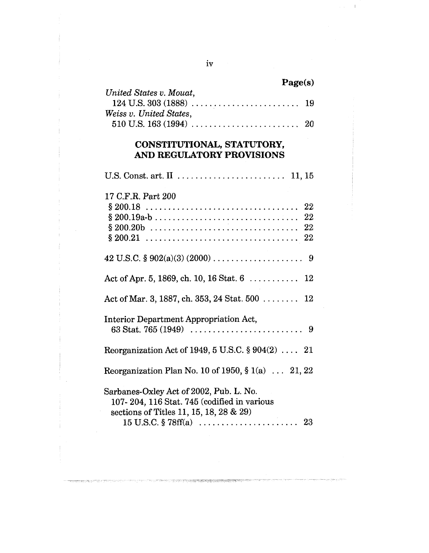| Page(s)                 |  |
|-------------------------|--|
| United States v. Mouat, |  |
|                         |  |
| Weiss v. United States, |  |
|                         |  |

## CONSTITUTIONAL, STATUTORY, **AND REGUI~TORY PROVISIONS**

| 17 C.F.R. Part 200<br>22                                                                                                           |
|------------------------------------------------------------------------------------------------------------------------------------|
|                                                                                                                                    |
| Act of Apr. 5, 1869, ch. 10, 16 Stat. 6 $\dots \dots \dots 12$                                                                     |
| Act of Mar. 3, 1887, ch. 353, 24 Stat. 500 $\ldots \ldots$ 12                                                                      |
| Interior Department Appropriation Act,<br>63 Stat. 765 (1949) $\ldots \ldots \ldots \ldots \ldots \ldots \ldots \ldots$ 9          |
| Reorganization Act of 1949, 5 U.S.C. $\S 904(2)$ 21                                                                                |
| Reorganization Plan No. 10 of 1950, $\S 1(a)$ 21, 22                                                                               |
| Sarbanes-Oxley Act of 2002, Pub. L. No.<br>107-204, 116 Stat. 745 (codified in various<br>sections of Titles 11, 15, 18, 28 $& 29$ |

 $\overline{\phantom{a}}$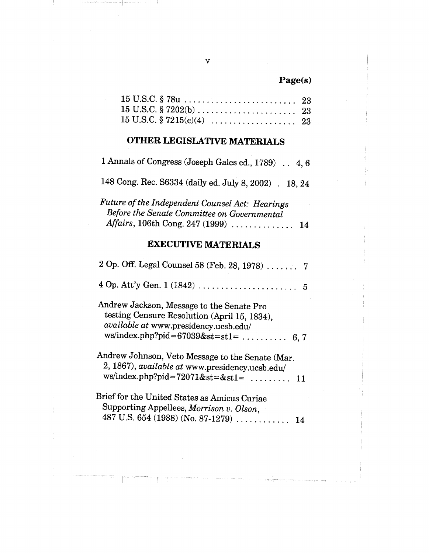## **Page(s)**

# **OTHER LEGISLATIVE MATERIALS**

1 Annals of Congress (Joseph Gales ed., 1789) .. 4, 6

148 Cong. Rec. S6334 (daily ed. July 8, 2002) . 18, 24

| Future of the Independent Counsel Act: Hearings |  |
|-------------------------------------------------|--|
| Before the Senate Committee on Governmental     |  |
| Affairs, 106th Cong. 247 (1999)  14             |  |

## **EXECUTIVE MATERIALS**

| 2 Op. Off. Legal Counsel 58 (Feb. 28, 1978)  7                                                                                                                                |
|-------------------------------------------------------------------------------------------------------------------------------------------------------------------------------|
|                                                                                                                                                                               |
| Andrew Jackson, Message to the Senate Pro<br>testing Censure Resolution (April 15, 1834),<br>available at www.presidency.ucsb.edu/<br>ws/index.php?pid= $67039$ &st=st1=  6,7 |
| Andrew Johnson, Veto Message to the Senate (Mar.<br>2, 1867), <i>available at</i> www.presidency.ucsb.edu/<br>ws/index.php?pid=72071&st=&st1= $\dots \dots \dots 11$          |
| Brief for the United States as Amicus Curiae<br>Supporting Appellees, Morrison v. Olson,<br>487 U.S. 654 (1988) (No. 87-1279)<br>14                                           |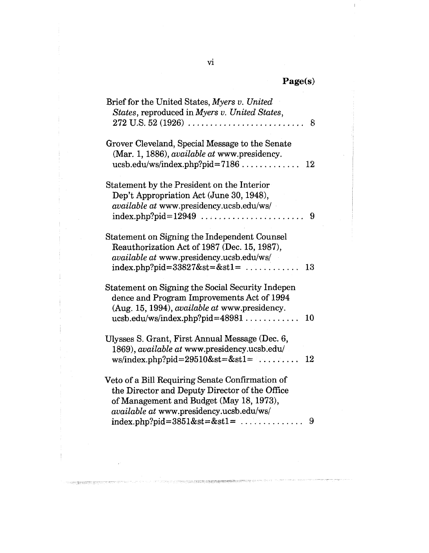| <b>PECS</b> |  |
|-------------|--|
|-------------|--|

 $\mathbf{1}$ 

| Brief for the United States, Myers v. United         |
|------------------------------------------------------|
| States, reproduced in Myers v. United States,        |
| 8                                                    |
| Grover Cleveland, Special Message to the Senate      |
| (Mar. 1, 1886), available at www.presidency.         |
| $ucsb.edu/ws/index.php?pid=7186$<br>12               |
|                                                      |
| Statement by the President on the Interior           |
| Dep't Appropriation Act (June 30, 1948),             |
| available at www.presidency.ucsb.edu/ws/             |
| 9                                                    |
|                                                      |
| Statement on Signing the Independent Counsel         |
| Reauthorization Act of 1987 (Dec. 15, 1987),         |
| available at www.presidency.ucsb.edu/ws/             |
| index.php?pid= $33827$ &st=&st1=<br>13               |
|                                                      |
| Statement on Signing the Social Security Indepen     |
| dence and Program Improvements Act of 1994           |
| (Aug. 15, 1994), <i>available at</i> www.presidency. |
| $ucsb.edu/ws/index.php?pid=48981$<br>10              |
| Ulysses S. Grant, First Annual Message (Dec. 6,      |
| 1869), <i>available at</i> www.presidency.ucsb.edu/  |
| $ws/index.php?pid=29510&st=&st1=$<br>12              |
|                                                      |
| Veto of a Bill Requiring Senate Confirmation of      |
| the Director and Deputy Director of the Office       |
| of Management and Budget (May 18, 1973),             |
| <i>available at www.presidency.ucsb.edu/ws/</i>      |
| index.php?pid= $3851$ &st=&st1=<br>9                 |

 $\bar{\gamma}$ 

 $\left\vert \right\vert$ 

ŧ

THE CONTRACTOR

 $\bar{\mathcal{L}}$ 

orchesseranger

in ji jihat jihasa mji sayan ng saka saka

 $\overline{\text{vi}}$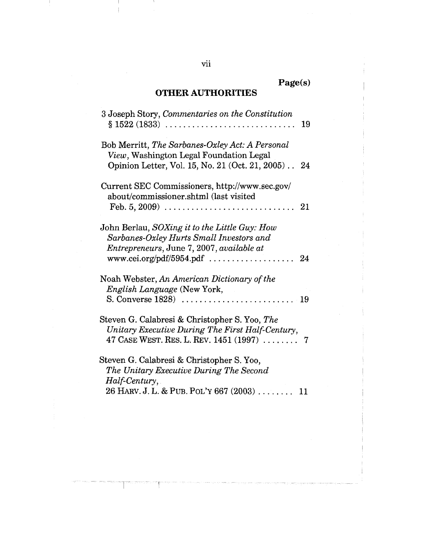## **OTHER AUTHORITIES**

**Page(s)**

| 3 Joseph Story, Commentaries on the Constitution<br>$\S~1522~(1833)$<br>19                                                                                                              |
|-----------------------------------------------------------------------------------------------------------------------------------------------------------------------------------------|
| Bob Merritt, The Sarbanes-Oxley Act: A Personal<br>View, Washington Legal Foundation Legal<br>Opinion Letter, Vol. 15, No. 21 (Oct. 21, 2005) 24                                        |
| Current SEC Commissioners, http://www.sec.gov/<br>about/commissioner.shtml (last visited<br>Feb. 5, 2009) $\ldots \ldots \ldots \ldots \ldots \ldots \ldots \ldots \ldots \ldots$<br>21 |
| John Berlau, SOXing it to the Little Guy: How<br>Sarbanes-Oxley Hurts Small Investors and<br><i>Entrepreneurs, June 7, 2007, available at</i>                                           |
| Noah Webster, An American Dictionary of the<br>English Language (New York,                                                                                                              |
| Steven G. Calabresi & Christopher S. Yoo, The<br>Unitary Executive During The First Half-Century,<br>47 CASE WEST. RES. L. REV. $1451 (1997) \ldots \ldots$<br>7                        |
| Steven G. Calabresi & Christopher S. Yoo,<br>The Unitary Executive During The Second<br>Half-Century,<br>26 HARV. J. L. & PUB. POL'Y 667 (2003)<br>11                                   |

vii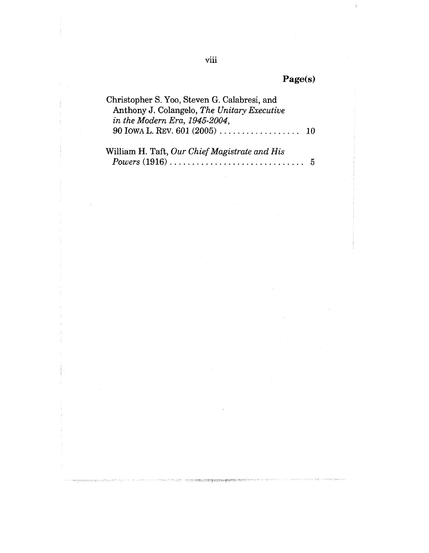| <b>(2els)</b> |
|---------------|
|---------------|

 $\bar{\gamma}$ 

.<br>Premierze

rengên sweden

 $\bar{\rm I}$ 

| Christopher S. Yoo, Steven G. Calabresi, and                              |  |
|---------------------------------------------------------------------------|--|
| Anthony J. Colangelo, The Unitary Executive                               |  |
| in the Modern Era, 1945-2004,                                             |  |
| 90 IOWA L. REV. 601 (2005) $\ldots \ldots \ldots \ldots \ldots \ldots 10$ |  |
|                                                                           |  |

Ť

 $\hat{\boldsymbol{\beta}}$ 

| William H. Taft, Our Chief Magistrate and His                                  |     |
|--------------------------------------------------------------------------------|-----|
| $Powers (1916) \ldots \ldots \ldots \ldots \ldots \ldots \ldots \ldots \ldots$ | - 5 |

 $\bar{\beta}$ 

2. 本にはない中で、国家によって、国家の研究所に関する場合の研究所である。

as helmond

すれる家

 $\sim$ 

 $\hat{\boldsymbol{\beta}}$ 

 $\,$ viii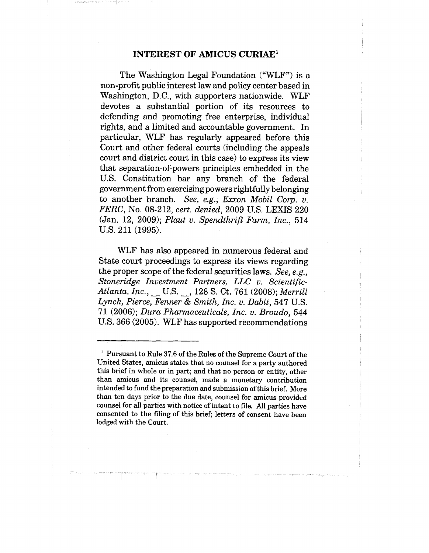#### INTEREST OF AMICUS CURIAE1

The Washington Legal Foundation ("WLF") is a non-profit public interest law and policy center based in Washington, D.C., with supporters nationwide. WLF devotes a substantial portion of its resources to defending and promoting free enterprise, individual rights, and a limited and accountable government. In particular, WLF has regularly appeared before this Court and other federal courts (including the appeals court and district court in this case) to express its view that separation-of-powers principles embedded in the U.S. Constitution bar any branch of the federal government from exercising powers rightfully belonging to another branch. *See, e,g., Exxon Mobil Corp. v. FERC,* No. 08-212, *cert. denied,* 2009 U.S. LEXIS 220 (Jan. 12, 2009); *Plaut v. Spendthrift Farm, Inc.,* 514 U.S. 211 (1995).

WLF has also appeared in numerous federal and State court proceedings to express its views regarding the proper scope of the federal securities laws. *See, e.g., Stoneridge Investment Partners, LLC v. Scientific-Atlanta, Inc., ~* U.S. \_\_, 128 S. Ct. 761 (2008); *Merrill Lynch, Pierce, Fenner & Smith, Inc. v. Dabit,* 547 U.S. 71 (2006); *Dura Pharmaceuticals, Inc. v. Broudo,* 544 U.S. 366 (2005). WLF has supported recommendations

<sup>&</sup>lt;sup>1</sup> Pursuant to Rule 37.6 of the Rules of the Supreme Court of the United States, amicus states that no counsel for a party authored this brief in whole or in part; and that no person or entity, other than amicus and its counsel, made a monetary contribution intended to fund the preparation and submission of this brief. More than ten days prior to the due date, counsel for amicus provided counsel for all parties with notice of intent to file. All parties have consented to the filing of this brief; letters of consent have been lodged with the Court.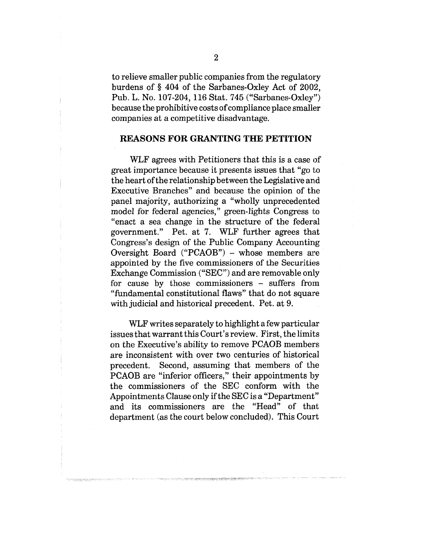to relieve smaller public companies from the regulatory burdens of § 404 of the Sarbanes-Oxley Act of 2002, Pub. L. No. 107-204, 116 Stat. 745 ("Sarbanes-Oxley") because the prohibitive costs of compliance place smaller companies at a competitive disadvantage.

#### **REASONS FOR GRANTING THE PETITION**

WLF agrees with Petitioners that this is a case of great importance because it presents issues that "go to the heart of the relationship between the Legislative and Executive Branches" and because the opinion of the panel majority, authorizing a "wholly unprecedented model for federal agencies," green-lights Congress to "enact a sea change in the structure of the federal government." Pet. at 7. WLF further agrees that Congress's design of the Public Company Accounting Oversight Board  $("PCAOB")$  – whose members are appointed by the five commissioners of the Securities Exchange Commission ("SEC") and are removable only for cause by those commissioners - suffers from "fundamental constitutional flaws" that do not square with judicial and historical precedent. Pet. at 9.

WLF writes separately to highlight a few particular issues that warrant this Court's review. First, the limits on the Executive's ability to remove PCAOB members are inconsistent with over two centuries of historical precedent. Second, assuming that members of the PCAOB are "inferior officers," their appointments by the commissioners of the SEC conform with the Appointments Clause only if the SEC is a "Department" and its commissioners are the "Head" of that department (as the court below concluded). This Court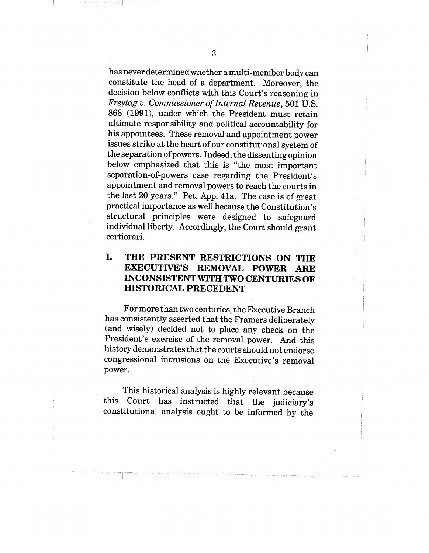has never determined whether a multi-member body can constitute the head of a department. Moreover, the decision below conflicts with this Court's reasoning in *Freytag v. Commissioner of Internal Revenue,* 501 U.S. 868 (1991), under which the President must retain ultimate responsibility and political accountability for his appointees. These removal and appointment power issues strike at the heart of our constitutional system of the separation of powers. Indeed, the dissenting opinion below emphasized that this is "the most important separation-of-powers case regarding the President's appointment and removal powers to reach the courts in the last 20 years." Pet. App. 41a. The case is of great practical importance as well because the Constitution's structural principles were designed to safeguard individual liberty. Accordingly, the Court should grant certiorari.

#### I. **THE PRESENT RESTRICTIONS ON THE EXECUTIVE'S REMOVAL POWER ARE INCONSISTENT WITH TWO CENTURIES OF HISTORICAL PRECEDENT**

For more than two centuries, the Executive Branch has consistently asserted that the Framers deliberately (and wisely) decided not to place any check on the President's exercise of the removal power. And this history demonstrates that the courts should not endorse congressional intrusions on the Executive's removal power.

This historical analysis is highly relevant because this Court has instructed that the judiciary's constitutional analysis ought to be informed by the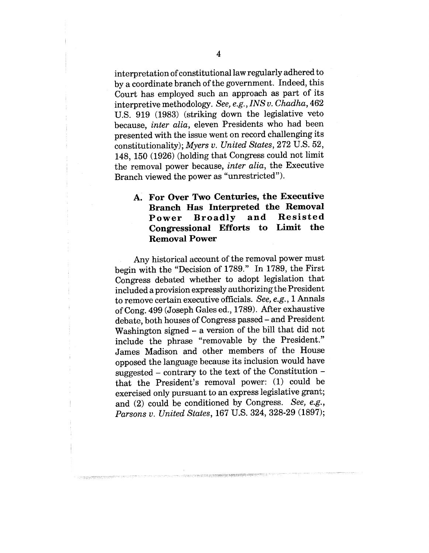interpretation of constitutional law regularly adhered to by a coordinate branch of the government. Indeed, this Court has employed such an approach as part of its interpretive methodology. *See, e.g., INS v. Chadha,* 462 U.S. 919 (1983) (striking down the legislative veto because, *inter alia,* eleven Presidents who had been presented with the issue went on record challenging its constitutionality); *Myers v. United States,* 272 U.S. 52,, 148, 150 (1926) (holding that Congress could not limit the removal power because, *inter alia,* the Executive Branch viewed the power as "unrestricted").

#### **Ao For Over Two Centuries, the Executiwe Branch Has Interpreted the Removal** Power Broadly and Resisted **Congressional Efforts to Limit the Removal Power**

Any historical account of the removal power must begin with the "Decision of 1789." In 1789, the First Congress debated whether to adopt legislation that included a provision expressly authorizing the President to remove certain executive officials. *See, e.g.,* 1 Annals of Cong. 499 (Joseph Gales ed., 1789). After exhaustive debate, both houses of Congress passed - and President Washington signed  $-$  a version of the bill that did not include the phrase "removable by the President." James Madison and other members of the House opposed the language because its inclusion would have suggested - contrary to the text of the Constitution that the President's removal power: (1) could be exercised only pursuant to an express legislative grant;; and (2) could be conditioned by Congress. *See, e.g.,* Parsons v. United States, 167 U.S. 324, 328-29 (1897);

.<br>The contract of the state of the state of the state of the state of the state of the state of the state of the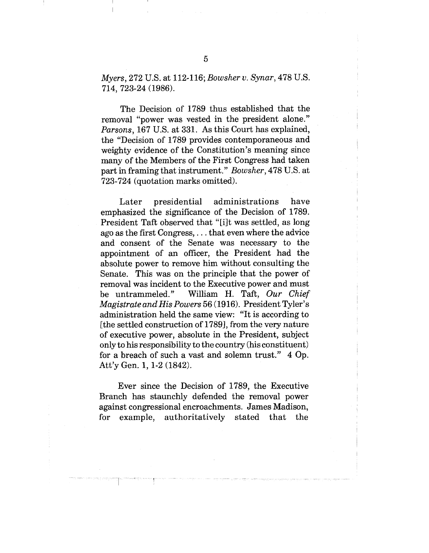*Myers,* 272 U.S. at 112-116; *Bowsher v. Synar,* 478 U.S. 714, 723-24 (1986).

The Decision of 1789 thus established that the removal "power was vested in the president alone." *Parsons,* 167 U.S. at 331. As this Court has explained, the "Decision of 1789 provides contemporaneous and weighty evidence of the Constitution's meaning since many of the Members of the First Congress had taken part in framing that instrument°" *Bowsher,* 478 U.S. at 723-724 (quotation marks omitted).

Later presidential administrations have emphasized the significance of the Decision of 1789. President Taft observed that "[i]t was settled, as long ago as the first Congress,... that even where the advice and consent of the Senate was necessary to the appointment of an officer, the President had the absolute power to remove him without consulting the Senate. This was on the principle that the power of removal was incident to the Executive power and must be untrammeled." William H. Taft, *Our Chief Magistrate and His Powers* 56 (1916). President Tyler's administration held the same view: "It is according to [the settled construction of 1789], from the very nature of executive power, absolute in the President, subject only to his responsibility to the country (his constituent) for a breach of such a vast and solemn trust." 4 Op. Att'y Gen. 1, 1-2 (1842).

Ever since the Decision of 1789, the Executive Branch has staunchly defended the removal power against congressional encroachments. James Madison, for example, authoritatively stated that the

 $\overline{5}$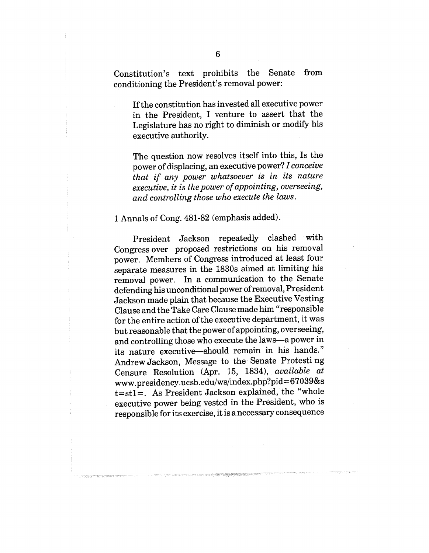Constitution's text prohibits the Senate from conditioning the President's removal power:

If the constitution has invested all executive power in the President, I venture to assert that the Legislature has no right to diminish or modify his executive authority.

The question now resolves itself into this, Is the power of displacing, an executive power? *I conceiw~ that if any power whatsoever is in its nature executive, it is the power of appointing, overseeing, and controlling those who execute the laws.*

#### 1 Annals of Cong. 481-82 (emphasis added).

President Jackson repeatedly clashed with Congress over proposed restrictions on his removal power. Members of Congress introduced at least four separate measures in the 1830s aimed at limiting his removal power. In a communication to the Senate defending his unconditional power of removal, President Jackson made plain that because the Executive Vesting Clause and the Take Care Clause made him "responsible for the entire action of the executive department, it was but reasonable that the power of appointing, overseeing, and controlling those who execute the laws--a power in its nature executive~should remain in his hands." Andrew Jackson, Message to the. Senate Protesting Censure Resolution (Apr. 15, 1834), *available at* www.presidency.ucsb.edu/ws/index.php?pid =67039&s t=stl=. As President Jackson explained, the "whole executive power being vested in the President, who is responsible for its exercise, it is a necessary consequence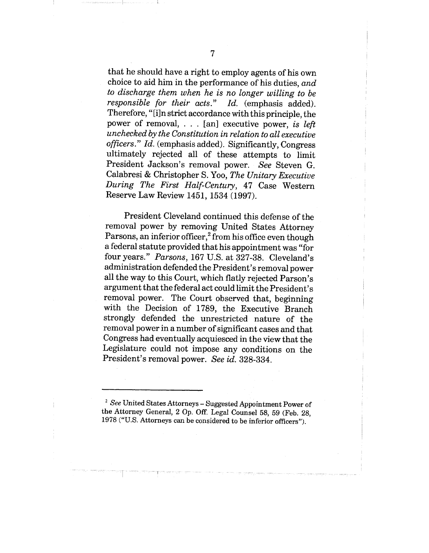that he should have a right to employ agents of his own choice to aid him in the performance of his duties, *and to discharge them when he is no longer willing to be responsible for their acts." Id.* (emphasis added). Therefore, "[i]n strict accordance with this principle, the power of removal, . . . [an] executive power, *is left unchecked by the Constitution in relation to all executive officers." Id.* (emphasis added). Significantly, Congress ultimately rejected all of these attempts to limit President Jackson's removal power. *See* Steven G. Calabresi & Christopher S. Yoo, *The Unitary Executive During The First Half-Century,* 47 Case Western Reserve Law Review 1451, 1534 (1997).

President Cleveland continued this defense of the removal power by removing United States Attorney Parsons, an inferior officer, $^{2}$  from his office even though a federal statute provided that his appointment was "for four years." *Parsons,* 167 U.S. at 327-38. Cleveland's administration defended the President's removal power all the way to this Court, which flatly rejected Parson's argument that the federal act could limit the President's removal power. The Court observed that, beginning with the Decision of 1789, the Executive Branch strongly defended the unrestricted nature of the removal power in a number of significant cases and that Congress had eventually acquiesced in the view that the Legislature could not impose any conditions on the President's removal power. *See id.* 328-334.

*<sup>2</sup> See* United States Attorneys - Suggested Appointment Power of the Attorney General, 2 Op. Off. Legal Counsel 58, 59 (Feb. 28, 1978 ("U.S. Attorneys can be considered to be inferior officers").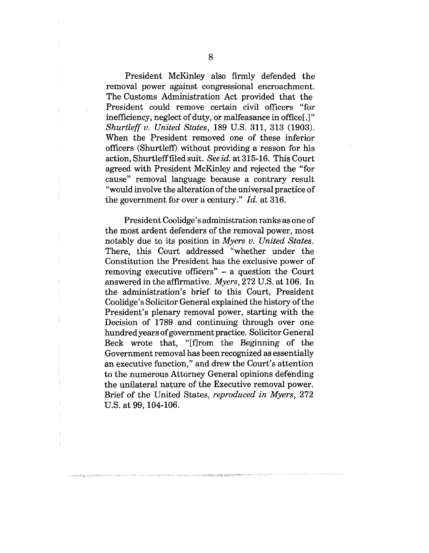President McKinley also firmly defended the removal power against congressional encroachment. The Customs Administration Act provided that the President could remove certain civil officers "for inefficiency, neglect of duty, or malfeasance in office[.]" *Shurtleff v. United States,* 189 U.S. 311, 313 (1903). When the President removed one of these inferior officers (Shurtleff) without providing a reason for his action, Shurtlefffiled suit. *See id.* at 315-16. This Court agreed with President McKinley and rejected the "for cause" removal language because a contrary result "would involve the alteration of the universal practice of the government for over a century." *Id..* at 316.

President Coolidge's administration ranks as one of the most ardent defenders of the removal power, most notably due to its position in *Myers v. United States.* There, this Court addressed "whether under the Constitution the President has the exclusive power of removing executive officers" - a question the Court answered in the affirmative. *Myers,* 272 U.S. at 106. In the administration's brief to this Court, President Coolidge's Solicitor General explained the history of the President's plenary removal power, starting with the Decision of 1789 and continuing through over one hundred years of government practice. Solicitor General Beck wrote that, "[f]rom the Beginning of the Government removal has been recognized as essentially an executive function," and drew the Court's attention to the numerous Attorney General opinions defending the unilateral nature of the Executive removal power. Brief of the United States, *reproduced in Myers,* 272 U.S. at 99, 104-106.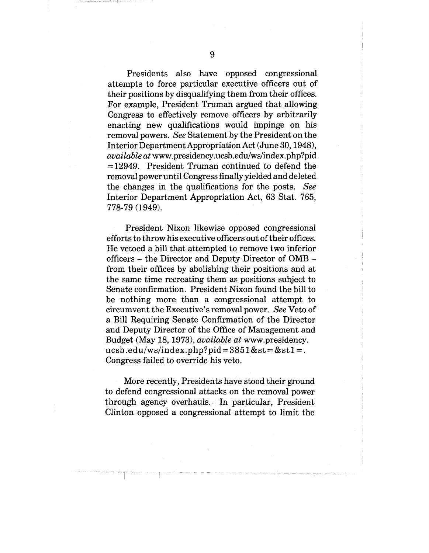Presidents also have opposed congressional attempts to force particular executive officers out of their positions by disqualifying them from their offices. For example, President Truman argued that allowing Congress to effectively remove officers by arbitrarily enacting new qualifications would impinge on his removal powers. *See* Statement by the President on the Interior Department Appropriation Act (June 30, 1948), *available at* www.presidency.ucsb.edu/ws/index.php?pid  $=12949$ . President Truman continued to defend the removal power until Congress finally yielded and deleted the changes in the qualifications for the posts. *See* Interior Department Appropriation Act, 63 Stat. 765, 778-79 (1949).

President Nixon likewise opposed congressional efforts to throw his executive officers out of their offices. He vetoed a bill that attempted to remove two inferior officers - the Director and Deputy Director of OMB from their offices by abolishing their positions and at the same time recreating them as positions subject to Senate confirmation. President Nixon found the bill to be nothing more than a congressional attempt to circumvent the Executive's removal power. *See* Veto of a Bill Requiring Senate Confirmation of the Director and Deputy Director of the Office of Management and Budget (May 18, 1973), *available at* www.presidency. ucsb.edu/ws/index.php?pid= $3851&$ st= $&$ st1=. Congress failed to override his veto.

More recently, Presidents have stood their ground to defend congressional attacks on the removal power through agency overhauls. In particular, President Clinton opposed a congressional attempt to limit the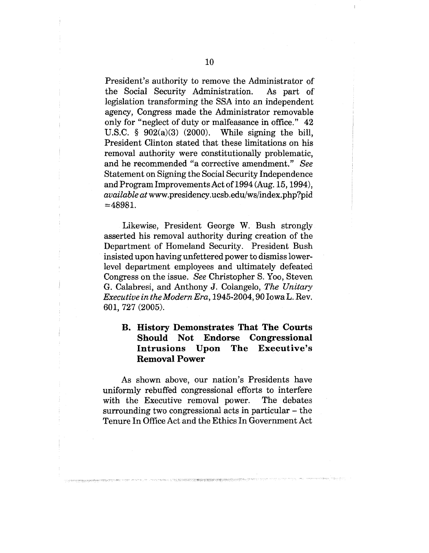President's authority to remove the Administrator of' the Social Security Administration. As part of legislation transforming the SSA into an independent agency, Congress made the Administrator removable only for "neglect of duty or malfeasance in office." 42 U.S.C.  $\S$  902(a)(3) (2000). While signing the bill, President Clinton stated that these limitations on his removal authority were constitutionally problematic, and he recommended *"a* corrective amendment." *See* Statement on Signing the Social Security Independence and Program Improvements Act of 1994 (Aug. 15, 1994), *available at* www.presidency.ucsb.edu/ws/index.php?pid  $=48981$ .

Likewise, President George W. Bush strongly asserted his removal authority during creation of the Department of Homeland Security. President Bush insisted upon having unfettered power to dismiss lower.. level department employees and ultimately defeated Congress on the issue. *See* Christopher S. Yoo, Steven G. Calabresi, and Anthony J. Colangelo, *The Unitary Executive in theModern Era,* 1945-2004, 90 Iowa L. Rev. 601, 727 (2005).

## **B.** History Demonstrates That The Courts **Should Not Endorse Congressional Intrusions Upon The Executive's Removal Power**

As shown above, our nation's Presidents hawe uniformly rebuffed congressional efforts to interfere with the Executive removal power, The debates surrounding two congressional acts in particular – the Tenure In Office Act and the Ethics In Government Act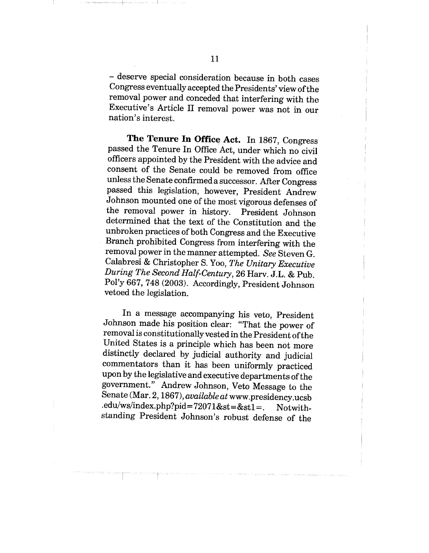**-** deserve special consideration because in both cases Congress eventually accepted the Presidents' view of the removal power and conceded that interfering with the Executive's Article II removal power was not in our nation's interest.

**The Tenure In Office Act.** In 1867, Congress passed the Tenure In Office Act, under which no civil officers appointed by the President with the advice and consent of the Senate could be removed from office unless the Senate confirmed a successor. After Congress passed this legislation, however, President Andrew Johnson mounted one of the most vigorous defenses of the removal power in history. President Johnson determined that the text of the Constitution and the unbroken practices of both Congress and the Executive Branch prohibited Congress from interfering with the removal power in the manner attempted. *See* Steven G. Calabresi & Christopher S. Yoo, *The Unitary Executive During The Second Half-Century,* 26 Harv. J.L. & Pub. Pol'y 667, 748 (2003). Accordingly, President Johnson vetoed the legislation.

In a message accompanying his veto, President Johnson made his position clear: "That the power of removal is constitutionally vested in the President of the United States is a principle which has been not more distinctly declared by judicial authority and judicial commentators than it has been uniformly practiced upon by the legislative and executive departments of the government." Andrew Johnson, Veto Message to the Senate (Mar. 2, 1867), *available at* www.presidency.ucsb .edu/ws/index.php?pid=72071&st=&stl=. Notwithstanding President Johnson's robust defense of the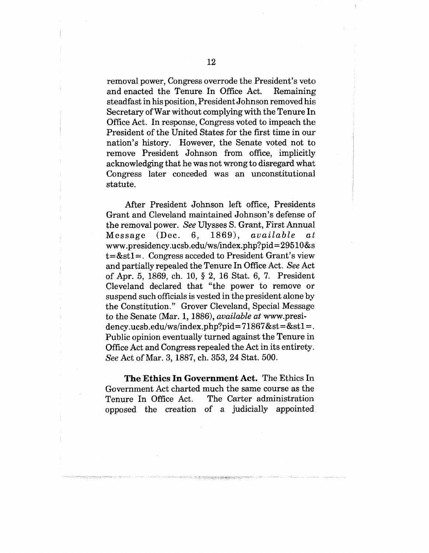removal power, Congress overrode the President's veto and enacted the Tenure In Office Act. Remaining steadfast in his position, President Johnson removed his Secretary of War without complying with the Tenure In Office Act. In response, Congress voted to impeach the President of the United States for the first time in our nation's history. However, the Senate voted not to remove President Johnson from office, implicitly acknowledging that he was not wrong to disregard what~ Congress later conceded was an unconstitutional statute.

After President Johnson left office, Presidents Grant and Cleveland maintained Johnson's defense of the removal power. *See* Ulysses S. Grant, First Annual Message (Dec. 6, 1869), available  $a t$ www.presidency.ucsb.edu/ws/index.php?pid = 29510 &s  $t = \&st1 =$ . Congress acceded to President Grant's view and partially repealed the Tenure In Office Act. *See* Act of Apr. 5, 1869, ch. 10, § 2, 16 Stat. 6, 7. President Cleveland declared that "the power to remove or suspend such officials is vested in the president alone by the Constitution." Grover Cleveland, Special Message to the Senate (Mar. 1, 1886), *available at* www.presidency.ucsb.edu/ws/index.php?pid= $71867$ &st=&st1=. Public opinion eventually turned against the Tenure in Office Act and Congress repealed the Act in its entirety. *See* Act of Mar. 3, 1887, ch. 353, 24 Stat. 500.

**The Ethics In Government Act.** The Ethics In Government Act charted much the same course as the Tenure In Office Act. The Carter administration opposed the creation of a judicially appointed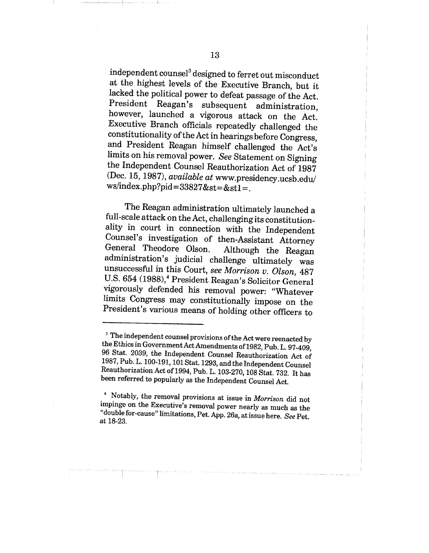independent counsel<sup>3</sup> designed to ferret out misconduct at the highest levels of the Executive Branch, but it lacked the political power to defeat passage of the Act. President Reagan's subsequent administration, however, launched a vigorous attack on the Act. Executive Branch officials repeatedly challenged the constitutionality of the Act in hearings before Congress, and President Reagan himself challenged the Act's limits on his removal power. *See* Statement on Signing the Independent Counsel Reauthorization Act of 1987 (Dec. 15, 1987), *available at* www.presidency.ucsb.edu/ ws/index.php?pid=33827&st=&st1=.

The Reagan administration ultimately launched a full-scale attack on the Act, challenging its constitutionality in court in connection with the Independent Counsel's investigation of then-Assistant Attorney General Theodore Olson. Although the Reagan administration's judicial challenge ultimately was unsuccessful in this Court, *see Morrison v. Olson,* 487 U.S. 654 (1988),<sup>4</sup> President Reagan's Solicitor General vigorously defended his removal power: "Whatever limits Congress may constitutionally impose on the President's various means of holding other officers to

<sup>3</sup> The independent counsel provisions of the Act were reenacted by the Ethics in Government Act Amendments of 1982, Pub. L. 97-409, 96 Stat. 2039, the Independent Counsel Reauthorization Act of 1987, Pub. L. 100-191, 101 Stat. 1293, and the Independent Counsel Reauthorization Act of 1994, Pub. L. 103-270, 108 Stat. 732. It has been referred to popularly as the Independent Counsel Act.

4 Notably, the removal provisions at issue in *Morrison* did not impinge on the Executive's removal power nearly as much as the "double for-cause" limitations, Pet. App. 26a, at issue here. *See* Pet. at 18-23.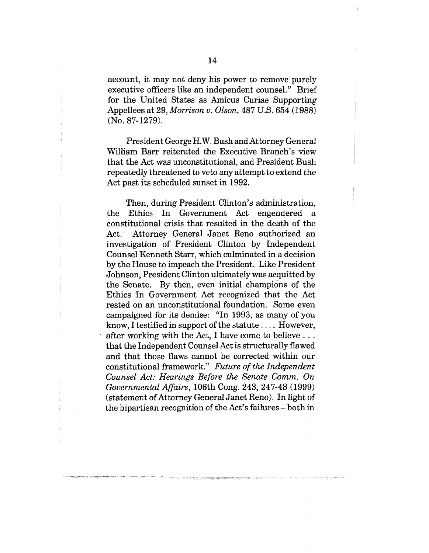account, it may not deny his power to remove purely executive officers like an independent counsel." Brief for the United States as Amicus Curiae Supporting Appellees at 29, *Morrison v. Olson,* 487 U.S. 654 (1988) (No. 87-1279).

President George H.W. Bush and Attorney General William Barr reiterated the Executive Branch's view that the Act was unconstitutional, and President Bush repeatedly threatened to veto any attempt to extend the Act past its scheduled sunset in 1992.

Then, during President Clinton's administration, the Ethics In Government Act engendered a constitutional crisis that resulted in the death of the Act. Attorney General Janet Reno authorized an investigation of President Clinton by Independent Counsel Kenneth Starr, which culminated in a decision by the House to impeach the President. Like President Johnson, President Clinton ultimately was acquitted the Senate. By then, even initial champions of the Ethics In Government Act recognized that the Act rested on an unconstitutional foundation. Some even campaigned for its demise: "In 1993, as many of you know, I testified in support of the statute .... However, after working with the Act, I have come to believe... that the Independent Counsel Act is structurally flawed and that those flaws cannot be corrected within our constitutional framework." *Future of the Independent Counsel Act: Hearings Before the Senate Comm. On Governmental Affairs,* 106th Cong. 243, 247-48 (1999) (statement of Attorney General Janet Reno). In light of the bipartisan recognition of the Act's failures - both in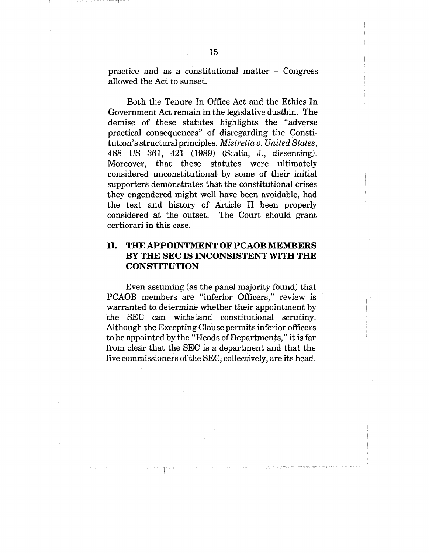practice and as a constitutional matter - Congress allowed the Act to sunset.

Both the Tenure In Office Act and the Ethics In Government Act remain in the legislative dustbin. The demise of these statutes highlights the "adverse practical consequences" of disregarding the Constitution's structural principles. *Mistretta v. United States,* 488 US 361, 421 (1989) (Scalia, J., dissenting). Moreover, that these statutes were ultimately considered unconstitutional by some of their initial supporters demonstrates that the constitutional crises they engendered might well have been avoidable, had the text and history of Article II been properly considered at the outset. The Court should grant certiorari in this case.

### **II. THE APPOINTMENT OF PCAOB MEMBERS BY THE SEC IS INCONSISTENT WITH THE CONSTITUTION**

Even assuming (as the panel majority found) that PCAOB members are "inferior Officers," review is warranted to determine whether their appointment by the SEC can withstand constitutional scrutiny. Although the Excepting Clause permits inferior officers to be appointed by the "Heads of Departments," it is far from clear that the SEC is a department and that the five commissioners of the SEC, collectively, are its head.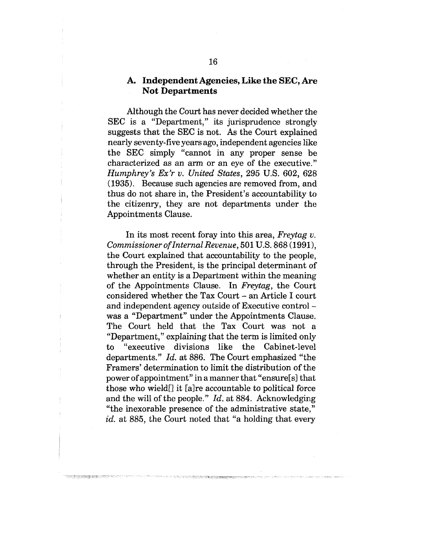### **A. Independent Agencies, Like the SEC, Are Not Departments**

Although the Court has never decided whether the SEC is a "Department," its jurisprudence strongly suggests that the SEC is not. As the Court explained nearly seventy-five years ago, independent agencies like the SEC simply "cannot in any proper sense be; characterized as an arm or an eye of the executive." *Humphrey's Ex'r v. United States,* 295 U.S. 602, 628 (1935). Because such agencies are removed from, and thus do not share in, the President's accountability to the citizenry, they are not departments under the Appointments Clause.

In its most recent foray into this area, *Freytag v. Commissioner of Internal Revenue,* 501 U.S. 868 (1991), the Court explained that accountability to the people, through the President, is the principal determinant of whether an entity is a Department within the meaning of the Appointments Clause. In *Freytag,* the Court considered whether the Tax Court - an Article I court and independent agency outside of Executive control was a "Department" under the Appointments Clause. The Court held that the Tax Court was not a "Department," explaining that the term is limited only to "executive divisions like the Cabinet-level departments." *Id.* at 886. The Court emphasized "the Framers' determination to limit the distribution of the power of appointment" in a manner that "ensure[s] that those who wield[] it [a]re accountable to political force and the will of the people." *Id.* at 884. Acknowledging "the inexorable presence of the administrative state," *id.* at 885, the Court noted that "a holding that every

**TOO TANK START START CON**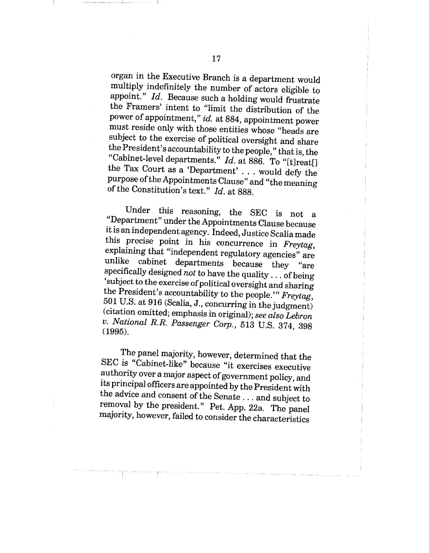organ in the Executive Branch is a department would multiply indefinitely the number of actors eligible to appoint." *Id.* Because such a holding would frustrate the Framers' intent to "limit the distribution of the power of appointment," *id.* at 884, appointment power must reside only with those entities whose "heads are subject to the exercise of political oversight and share the President's accountability to the people," that is, the "Cabinet-level departments." *Id.* at 886. To "[t]reat[] the Tax Court as a 'Department' . . . would defy the purpose of the Appointments Clause" and "the meaning of the Constitution's text." *Id.* at 888.

Under this reasoning, the SEC is not a "Department" under the Appointments Clause because it is an independent agency. Indeed, Justice Scalia made this precise point in his concurrence in *Freytag,* explaining that "independent regulatory agencies" are unlike cabinet departments because they "are specifically designed *not* to have the quality.., of being 'subject to the exercise of political oversight and sharing the President's accountability to the people.'" *Freytag,* 501 U.S. at 916 (Scalia, J., concurring in the judgment) (citation omitted; emphasis in original); *see also Lebron v. National R.R. Passenger Corp.,* 513 U.S. 374, 398 (1995).

The panel majority, however, determined that the SEC is "Cabinet-like" because "it exercises executive authority over a major aspect of government policy, and its principal officers are appointed by the President with the advice and consent of the Senate... and subject to removal by the president." Pet. App. 22a. The panel majority, however, failed to consider the characteristics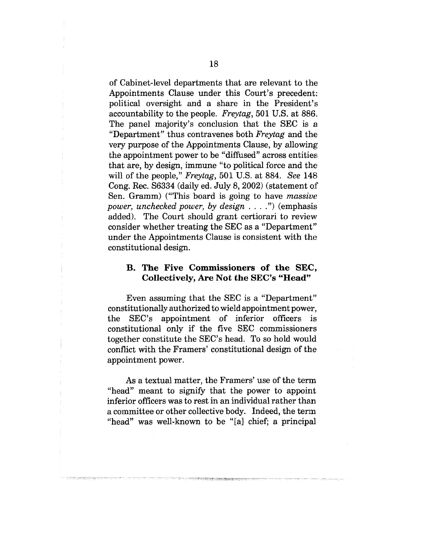of Cabinet-level departments that are relevant to the Appointments Clause under this Court's precedent: political oversight and a share in the President's accountability to the people. *Freytag,* 501 U.S. at 886. The panel majority's conclusion that the SEC is a "Department" thus contravenes both *Freytag* and the very purpose of the Appointments Clause, by allowing the appointment power to be "diffused" across entities that are, by design, immune "to political force and the will of the people," *Freytag,* 501 U.S. at 884. *See* 148 Cong. Rec. \$6334 (daily ed. July 8, 2002) (statement of Sen. Gramm) ("This board is going to have *massiw; power, unchecked power, by design ....*") (emphasis added). The Court should grant certiorari to review consider whether treating the SEC as a "Department" under the Appointments Clause is consistent with the constitutional design.

#### **B. The Five Commissioners of the SEC, Collectively, Are Not the SEC's "Head"**

Even assuming that the SEC is a "Department" constitutionally authorized to wield appointment power, the SEC's appointment of inferior officers is constitutional only if the five SEC commissioners together constitute the SEC's head. To so hold would conflict with the Framers' constitutional design of the appointment power.

As a textual matter, the Framers' use of the term "head" meant to signify that the power to appoint inferior officers was to rest in an individual rather than a committee or other collective body. Indeed, the term "head" was well-known to be "[a] chief; a principal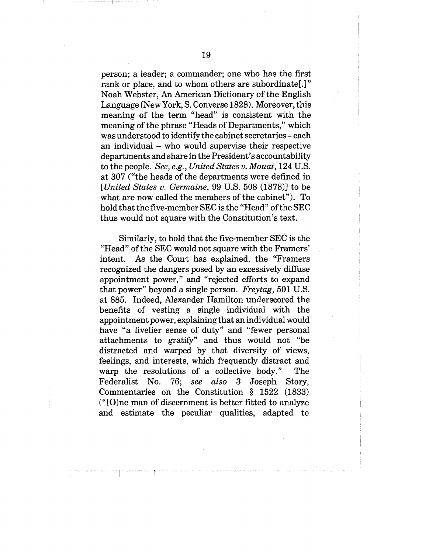person; a leader; a commander; one who has the first rank or place, and to whom others are subordinate[.]" Noah Webster, An American Dictionary of the English Language (NewYork, S. Converse 1828). Moreover, this meaning of the term "head" is consistent with the meaning of the phrase "Heads of Departments," which was understood to identify the cabinet secretaries- each an individual - who would supervise their respective departments and share in the President's accountability to the people. *See, e.g., United States v. Mouat,* 124 U.S. at 307 ("the heads of the departments were defined in *[United States v. Germaine,* 99 U.S. 508 (1878)] to be what are now called the members of the cabinet"). To hold that the five-member SEC is the "Head" of the SEC thus would not square with the Constitution's text.

Similarly, to hold that the five-member SEC is the "Head" of the SEC would not square with the Framers' intent. As the Court has explained, the "Framers recognized the dangers posed by an excessively diffuse appointment power," and "rejected efforts to expand that power" beyond a single person. *Freytag,* 501 U.S. at 885. Indeed, Alexander Hamilton underscored the benefits of vesting a single individual with the appointment power, explaining that an individual would have *"a* livelier sense of duty" and "fewer personal attachments to gratify" and thus would not "be distracted and warped by that diversity of views, feelings, and interests, which frequently distract and warp the resolutions of a collective body." The Federalist No. 76; *see also* 3 Joseph Story, Commentaries on the Constitution § 1522 (1833) ("[O]ne man of discernment is better fitted to analyze and estimate the peculiar qualities, adapted to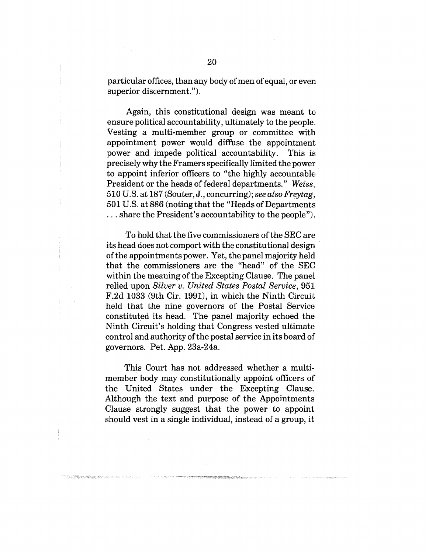particular offices, than any body of men of equal, or even superior discernment.").

Again, this constitutional design was meant to. ensure political accountability, ultimately to the people. Vesting a multi-member group or committee with. appointment power would diffuse the appointment power and impede political accountability. This is precisely why the Framers specifically limited the power to appoint inferior officers to "the highly accountable President or the heads of federal departments." *Weiss..,* 510 U.S. at 187 (Souter, J., concurring); *see also Freytag,* 501 U.S. at 886 (noting that the "Heads of Departments ... share the President's accountability to the people").

To hold that the five commissioners of the SEC are its head does not comport with the constitutional design of the appointments power. Yet, the panel majority held that the commissioners are the "head" of the SEC within the meaning of the Excepting Clause. The panel relied upon *Silver v. United States Postal Service,* 951[  $F.2d$  1033 (9th Cir. 1991), in which the Ninth Circuit held that the nine governors of the Postal Service constituted its head. The panel majority echoed the Ninth Circuit's holding that Congress vested ultimate control and authority of the postal service in its board of governors. Pet. App. 23a-24a.

This Court has not addressed whether a multimember body may constitutionally appoint officers of the United States under the Excepting Clause. Although the text and purpose of the Appointments Clause strongly suggest that the power to appoint should vest in a single individual, instead of a group, it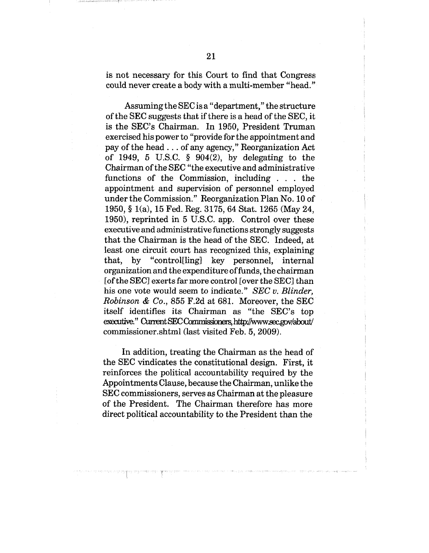is not necessary for this Court to find that Congress could never create a body with a multi-member "head."

Assuming the SEC is a "department," the structure of the SEC suggests that if there is a head of the SEC, it is the SEC's Chairman. In 1950, President Truman exercised his power to "provide for the appointment and pay of the head.., of any agency," Reorganization Act of 1949, 5 U.S.C.  $\frac{6}{904(2)}$ , by delegating to the Chairman of the SEC "the executive and administrative functions of the Commission, including  $\ldots$  the appointment and supervision of personnel employed under the Commission." Reorganization Plan No. 10 of 1950, § l(a), 15 Fed. Reg. 3175, 64 Star. 1265 (May 24, 1950), reprinted in 5 U.S.C. app. Control over these executive and administrative functions strongly suggests that the Chairman is the head of the SEC. Indeed, at least one circuit court has recognized this, explaining that, by "control[ling] key personnel, internal organization and the expenditure of funds, the chairman [of the SEC] exerts far more control [over the SEC] than his one vote would seem to indicate." *SEC v. Blinder, Robinson & Co.,* 855 F.2d at 681. Moreover, the SEC itself identifies its Chairman as "the SEC's top executive." Current SEC Commissioners, http://www.sec.gov/about/ commissioner.shtml (last visited Feb. 5, 2009).

In addition, treating the Chairman as the head of the SEC vindicates the constitutional design. First, it reinforces the political accountability required by the Appointments Clause, because the Chairman, unlike the SEC commissioners, serves as Chairman at the pleasure of the President. The Chairman therefore has more direct political accountability to the President than the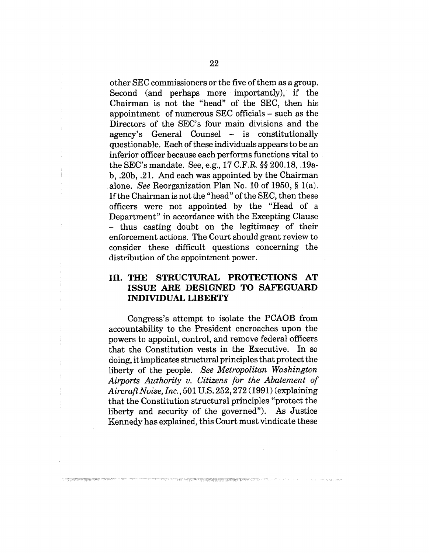other SEC commissioners or the five of them as a group. Second (and perhaps more importantly), if the Chairman is not the "head" of the SEC, then his appointment of numerous SEC officials - such as the Directors of the SEC's four main divisions and the agency's General Counsel - is constitutionally questionable. Each of these individuals appears to be an inferior officer because each performs functions vital to the SEC's mandate. See, e.g., 17 C.F.R. §§ 200.18, .19a $b, .20b, .21.$  And each was appointed by the Chairman alone. *See* Reorganization Plan No. 10 of 1950, § l(a). If the Chairman is not the "head" of the SEC, then these officers were not appointed by the "Head of a Department" in accordance with the Excepting Clause - thus casting doubt on the legitimacy of their enforcement actions. The Court should grant review to consider these difficult questions concerning the distribution of the appointment power.

### **III. THE STRUCTURAL PROTECTIONS A'r ISSUE ARE DESIGNED TO SAFEGUARD INDIVIDUAL LIBERTY**

Congress's attempt to isolate the PCAOB from accountability to the President encroaches upon the powers to appoint, control, and remove federal officers that the Constitution vests in the Executive. In so doing, it implicates structural principles that protect the liberty of the people. *See Metropolitan Washington* Airports Authority v. Citizens for the Abatement of *AircraflNoise, Inc.,* 501 U.S. 252,272 (1991) (explaining that the Constitution structural principles "protect the liberty and security of the governed"). As Justice Kennedy has explained, this Court must vindicate these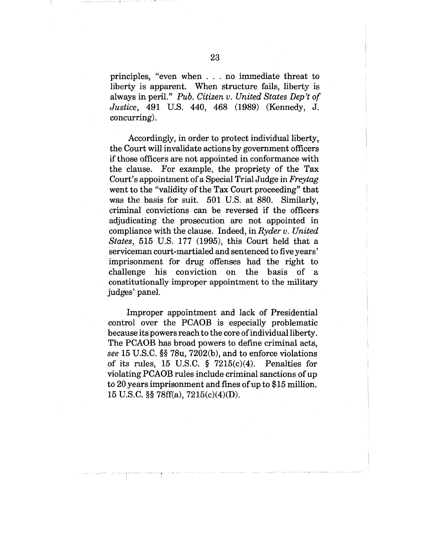principles, "even when . . no immediate threat to liberty is apparent. When structure fails, liberty is always in peril." *Pub. Citizen v. United States Dep't of Justice,* 491 U.S. 440, 468 (1989) (Kennedy, J. concurring).

Accordingly, in order to protect individual liberty, the Court will invalidate actions by government officers if those officers are not appointed in conformance with the clause. For example, the propriety of the Tax Court's appointment of a Special Trial Judge in *Freytag* went to the "validity of the Tax Court proceeding" that was the basis for suit. 501 U.S. at 880. Similarly, criminal convictions can be reversed if the officers adjudicating the prosecution are not appointed in compliance with the clause. Indeed, in *Ryder v. United States,* 515 U.S. 177 (1995), this Court held that a serviceman court-martialed and sentenced to five years' imprisonment for drug offenses had the right to challenge his conviction on the basis of a constitutionally improper appointment to the military judges' panel.

Improper appointment and lack of Presidential control over the PCAOB is especially problematic because its powers reach to the core of individual liberty. The PCAOB has broad powers to define criminal acts, *see* 15 U.S.C. §§ 78u, 7202(b), and to enforce violations of its rules,  $15$  U.S.C. §  $7215(c)(4)$ . Penalties for violating PCAOB rules include criminal sanctions of up to 20 years imprisonment and fines of up to \$15 million. 15 U.S.C. §§ 78ff(a), 7215(c)(4)(D).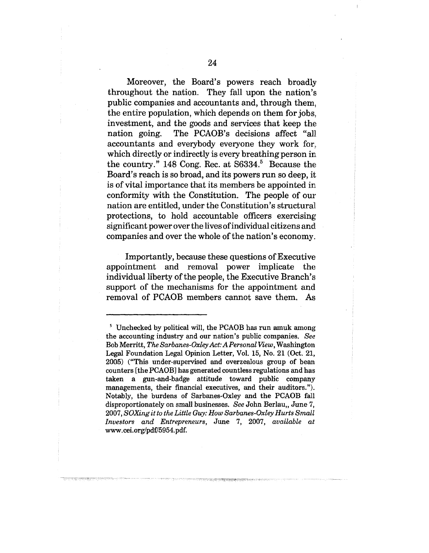Moreover, the Board's powers reach broadly throughout the nation. They fall upon the nation's. public companies and accountants and, through them, the entire population, which depends on them for jobs,. investment, and the goods and services that keep the nation going. The PCAOB's decisions affect "all accountants and everybody everyone they work for, which directly or indirectly is every breathing person in the country." 148 Cong. Rec. at  $S6334$ .<sup>5</sup> Because the Board's reach is so broad, and its powers run so deep, it is of vital importance that its members be appointed in conformity with the Constitution. The people of our nation are entitled, under the Constitution's structural protections, to hold accountable officers exercising significant power over the lives of individual citizens and companies and over the whole of the nation's economy.

Importantly, because these questions of Executive; appointment and removal power implicate the individual liberty of the people, the Executive Branch's support of the mechanisms for the appointment and removal of PCAOB members cannot save them. As

s Unchecked by political will, the PCAOB has run amuk among the accounting industry and our nation's public companies. *See* Bob Merritt, *The Sarbanes-Oxley Act: A Personal View,* Washington Legal Foundation Legal Opinion Letter, Vol. 15, No. 21 (Oct. 21, 2005) ("This under-supervised and overzealous group of bean counters [the PCAOB] has generated countless regulations and has taken a gun-and-badge attitude toward public company managements, their financial executives, and their auditors."). Notably, the burdens of Sarbanes-Oxley and the PCAOB fall disproportionately on small businesses. See John Berlau,, June 7, 2007, *SOXing it to the Little Guy: How Sarbanes-Oxley Hurts Small Investors and Entrepreneurs,* June 7, 2007, *available at* www. cei.org/pdf/5954.pdf.